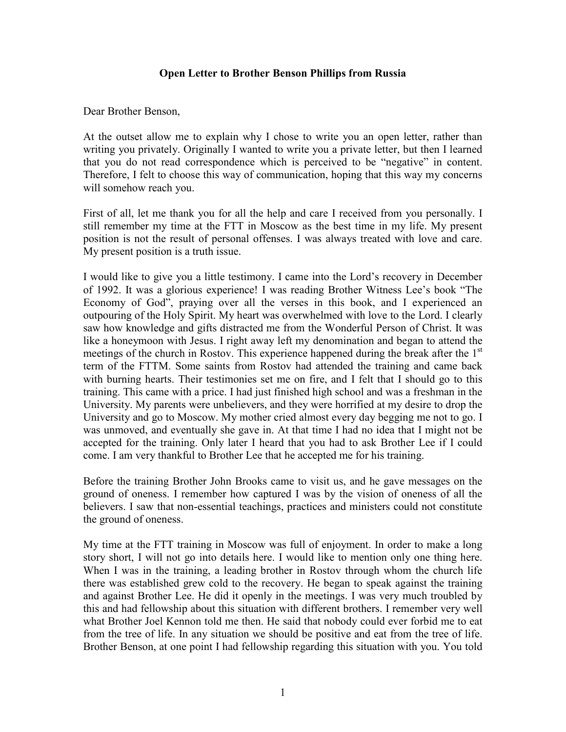## Open Letter to Brother Benson Phillips from Russia

Dear Brother Benson,

At the outset allow me to explain why I chose to write you an open letter, rather than writing you privately. Originally I wanted to write you a private letter, but then I learned that you do not read correspondence which is perceived to be "negative" in content. Therefore, I felt to choose this way of communication, hoping that this way my concerns will somehow reach you.

First of all, let me thank you for all the help and care I received from you personally. I still remember my time at the FTT in Moscow as the best time in my life. My present position is not the result of personal offenses. I was always treated with love and care. My present position is a truth issue.

I would like to give you a little testimony. I came into the Lord's recovery in December of 1992. It was a glorious experience! I was reading Brother Witness Lee's book "The Economy of God", praying over all the verses in this book, and I experienced an outpouring of the Holy Spirit. My heart was overwhelmed with love to the Lord. I clearly saw how knowledge and gifts distracted me from the Wonderful Person of Christ. It was like a honeymoon with Jesus. I right away left my denomination and began to attend the meetings of the church in Rostov. This experience happened during the break after the 1<sup>st</sup> term of the FTTM. Some saints from Rostov had attended the training and came back with burning hearts. Their testimonies set me on fire, and I felt that I should go to this training. This came with a price. I had just finished high school and was a freshman in the University. My parents were unbelievers, and they were horrified at my desire to drop the University and go to Moscow. My mother cried almost every day begging me not to go. I was unmoved, and eventually she gave in. At that time I had no idea that I might not be accepted for the training. Only later I heard that you had to ask Brother Lee if I could come. I am very thankful to Brother Lee that he accepted me for his training.

Before the training Brother John Brooks came to visit us, and he gave messages on the ground of oneness. I remember how captured I was by the vision of oneness of all the believers. I saw that non-essential teachings, practices and ministers could not constitute the ground of oneness.

My time at the FTT training in Moscow was full of enjoyment. In order to make a long story short, I will not go into details here. I would like to mention only one thing here. When I was in the training, a leading brother in Rostov through whom the church life there was established grew cold to the recovery. He began to speak against the training and against Brother Lee. He did it openly in the meetings. I was very much troubled by this and had fellowship about this situation with different brothers. I remember very well what Brother Joel Kennon told me then. He said that nobody could ever forbid me to eat from the tree of life. In any situation we should be positive and eat from the tree of life. Brother Benson, at one point I had fellowship regarding this situation with you. You told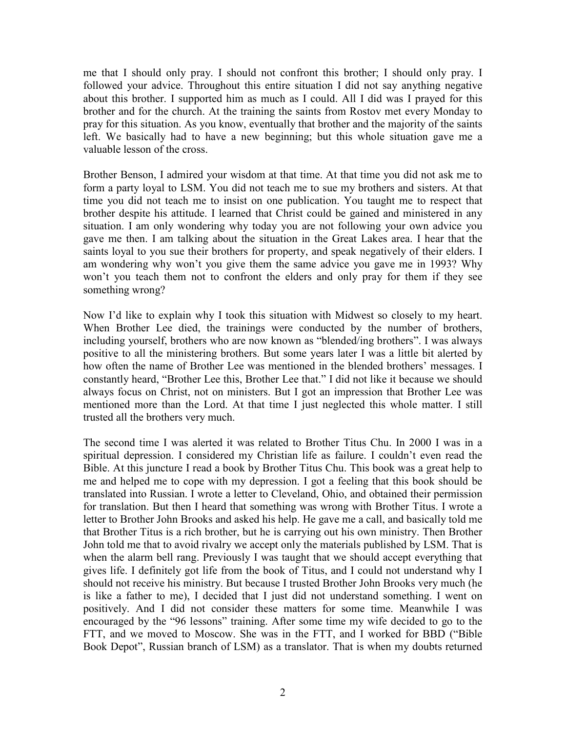me that I should only pray. I should not confront this brother; I should only pray. I followed your advice. Throughout this entire situation I did not say anything negative about this brother. I supported him as much as I could. All I did was I prayed for this brother and for the church. At the training the saints from Rostov met every Monday to pray for this situation. As you know, eventually that brother and the majority of the saints left. We basically had to have a new beginning; but this whole situation gave me a valuable lesson of the cross.

Brother Benson, I admired your wisdom at that time. At that time you did not ask me to form a party loyal to LSM. You did not teach me to sue my brothers and sisters. At that time you did not teach me to insist on one publication. You taught me to respect that brother despite his attitude. I learned that Christ could be gained and ministered in any situation. I am only wondering why today you are not following your own advice you gave me then. I am talking about the situation in the Great Lakes area. I hear that the saints loyal to you sue their brothers for property, and speak negatively of their elders. I am wondering why won't you give them the same advice you gave me in 1993? Why won't you teach them not to confront the elders and only pray for them if they see something wrong?

Now I'd like to explain why I took this situation with Midwest so closely to my heart. When Brother Lee died, the trainings were conducted by the number of brothers, including yourself, brothers who are now known as "blended/ing brothers". I was always positive to all the ministering brothers. But some years later I was a little bit alerted by how often the name of Brother Lee was mentioned in the blended brothers' messages. I constantly heard, "Brother Lee this, Brother Lee that." I did not like it because we should always focus on Christ, not on ministers. But I got an impression that Brother Lee was mentioned more than the Lord. At that time I just neglected this whole matter. I still trusted all the brothers very much.

The second time I was alerted it was related to Brother Titus Chu. In 2000 I was in a spiritual depression. I considered my Christian life as failure. I couldn't even read the Bible. At this juncture I read a book by Brother Titus Chu. This book was a great help to me and helped me to cope with my depression. I got a feeling that this book should be translated into Russian. I wrote a letter to Cleveland, Ohio, and obtained their permission for translation. But then I heard that something was wrong with Brother Titus. I wrote a letter to Brother John Brooks and asked his help. He gave me a call, and basically told me that Brother Titus is a rich brother, but he is carrying out his own ministry. Then Brother John told me that to avoid rivalry we accept only the materials published by LSM. That is when the alarm bell rang. Previously I was taught that we should accept everything that gives life. I definitely got life from the book of Titus, and I could not understand why I should not receive his ministry. But because I trusted Brother John Brooks very much (he is like a father to me), I decided that I just did not understand something. I went on positively. And I did not consider these matters for some time. Meanwhile I was encouraged by the "96 lessons" training. After some time my wife decided to go to the FTT, and we moved to Moscow. She was in the FTT, and I worked for BBD ("Bible Book Depot", Russian branch of LSM) as a translator. That is when my doubts returned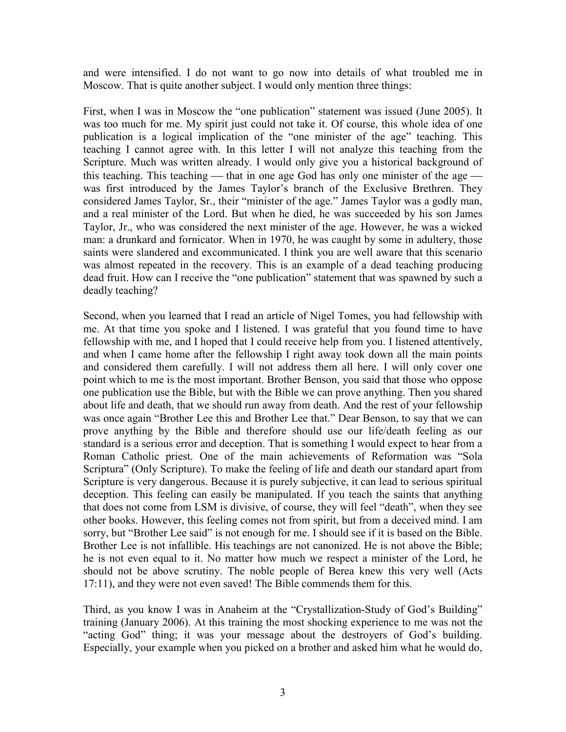and were intensified. I do not want to go now into details of what troubled me in Moscow. That is quite another subject. I would only mention three things:

First, when I was in Moscow the "one publication" statement was issued (June 2005). It was too much for me. My spirit just could not take it. Of course, this whole idea of one publication is a logical implication of the "one minister of the age" teaching. This teaching I cannot agree with. In this letter I will not analyze this teaching from the Scripture. Much was written already. I would only give you a historical background of this teaching. This teaching — that in one age God has only one minister of the age was first introduced by the James Taylor's branch of the Exclusive Brethren. They considered James Taylor, Sr., their "minister of the age." James Taylor was a godly man, and a real minister of the Lord. But when he died, he was succeeded by his son James Taylor, Jr., who was considered the next minister of the age. However, he was a wicked man: a drunkard and fornicator. When in 1970, he was caught by some in adultery, those saints were slandered and excommunicated. I think you are well aware that this scenario was almost repeated in the recovery. This is an example of a dead teaching producing dead fruit. How can I receive the "one publication" statement that was spawned by such a deadly teaching?

Second, when you learned that I read an article of Nigel Tomes, you had fellowship with me. At that time you spoke and I listened. I was grateful that you found time to have fellowship with me, and I hoped that I could receive help from you. I listened attentively, and when I came home after the fellowship I right away took down all the main points and considered them carefully. I will not address them all here. I will only cover one point which to me is the most important. Brother Benson, you said that those who oppose one publication use the Bible, but with the Bible we can prove anything. Then you shared about life and death, that we should run away from death. And the rest of your fellowship was once again "Brother Lee this and Brother Lee that." Dear Benson, to say that we can prove anything by the Bible and therefore should use our life/death feeling as our standard is a serious error and deception. That is something I would expect to hear from a Roman Catholic priest. One of the main achievements of Reformation was "Sola Scriptura" (Only Scripture). To make the feeling of life and death our standard apart from Scripture is very dangerous. Because it is purely subjective, it can lead to serious spiritual deception. This feeling can easily be manipulated. If you teach the saints that anything that does not come from LSM is divisive, of course, they will feel "death", when they see other books. However, this feeling comes not from spirit, but from a deceived mind. I am sorry, but "Brother Lee said" is not enough for me. I should see if it is based on the Bible. Brother Lee is not infallible. His teachings are not canonized. He is not above the Bible; he is not even equal to it. No matter how much we respect a minister of the Lord, he should not be above scrutiny. The noble people of Berea knew this very well (Acts 17:11), and they were not even saved! The Bible commends them for this.

Third, as you know I was in Anaheim at the "Crystallization-Study of God's Building" training (January 2006). At this training the most shocking experience to me was not the "acting God" thing; it was your message about the destroyers of God's building. Especially, your example when you picked on a brother and asked him what he would do,